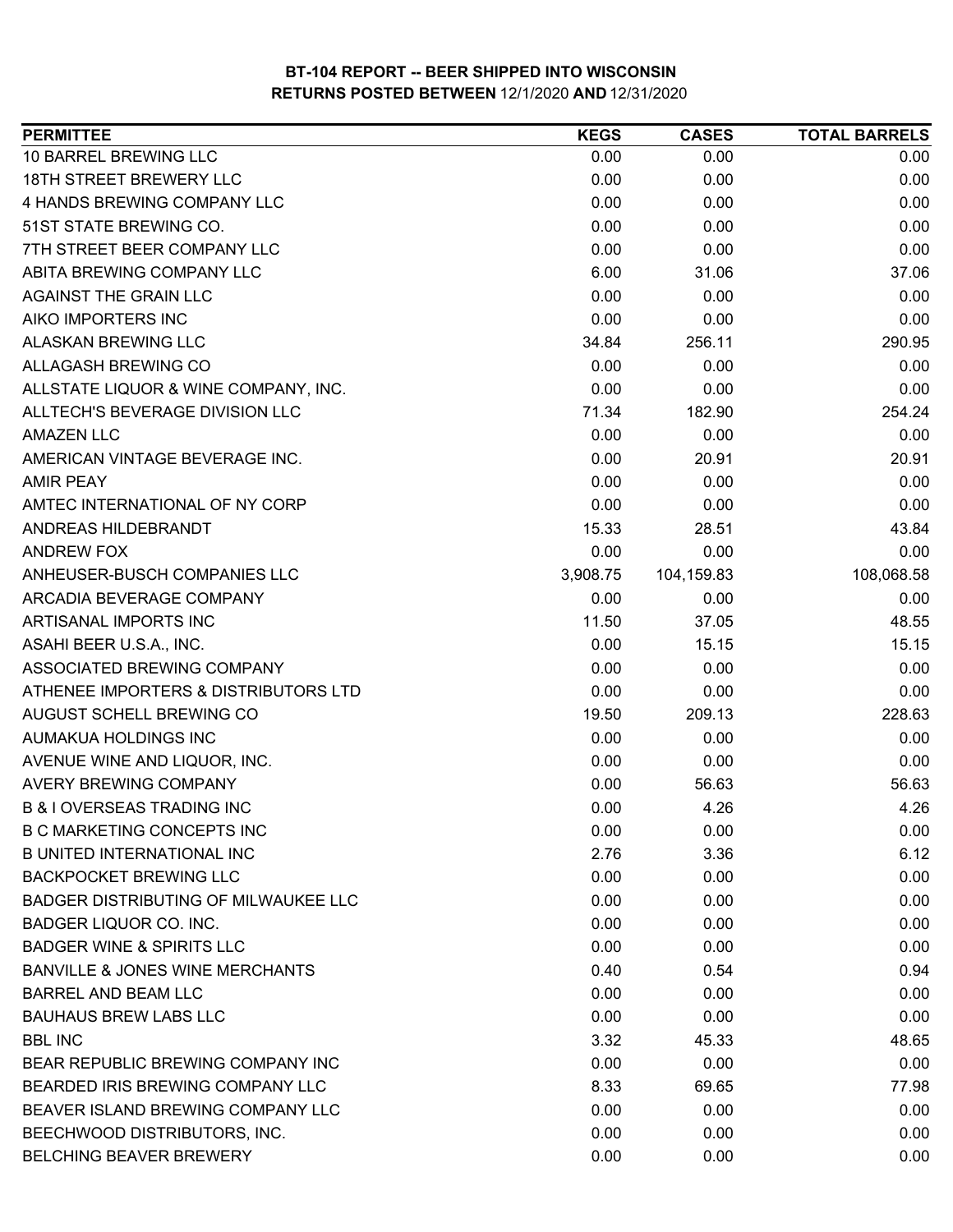| <b>PERMITTEE</b>                            | <b>KEGS</b> | <b>CASES</b> | <b>TOTAL BARRELS</b> |
|---------------------------------------------|-------------|--------------|----------------------|
| 10 BARREL BREWING LLC                       | 0.00        | 0.00         | 0.00                 |
| 18TH STREET BREWERY LLC                     | 0.00        | 0.00         | 0.00                 |
| 4 HANDS BREWING COMPANY LLC                 | 0.00        | 0.00         | 0.00                 |
| 51ST STATE BREWING CO.                      | 0.00        | 0.00         | 0.00                 |
| 7TH STREET BEER COMPANY LLC                 | 0.00        | 0.00         | 0.00                 |
| ABITA BREWING COMPANY LLC                   | 6.00        | 31.06        | 37.06                |
| <b>AGAINST THE GRAIN LLC</b>                | 0.00        | 0.00         | 0.00                 |
| AIKO IMPORTERS INC                          | 0.00        | 0.00         | 0.00                 |
| <b>ALASKAN BREWING LLC</b>                  | 34.84       | 256.11       | 290.95               |
| ALLAGASH BREWING CO                         | 0.00        | 0.00         | 0.00                 |
| ALLSTATE LIQUOR & WINE COMPANY, INC.        | 0.00        | 0.00         | 0.00                 |
| ALLTECH'S BEVERAGE DIVISION LLC             | 71.34       | 182.90       | 254.24               |
| <b>AMAZEN LLC</b>                           | 0.00        | 0.00         | 0.00                 |
| AMERICAN VINTAGE BEVERAGE INC.              | 0.00        | 20.91        | 20.91                |
| <b>AMIR PEAY</b>                            | 0.00        | 0.00         | 0.00                 |
| AMTEC INTERNATIONAL OF NY CORP              | 0.00        | 0.00         | 0.00                 |
| ANDREAS HILDEBRANDT                         | 15.33       | 28.51        | 43.84                |
| <b>ANDREW FOX</b>                           | 0.00        | 0.00         | 0.00                 |
| ANHEUSER-BUSCH COMPANIES LLC                | 3,908.75    | 104,159.83   | 108,068.58           |
| ARCADIA BEVERAGE COMPANY                    | 0.00        | 0.00         | 0.00                 |
| ARTISANAL IMPORTS INC                       | 11.50       | 37.05        | 48.55                |
| ASAHI BEER U.S.A., INC.                     | 0.00        | 15.15        | 15.15                |
| ASSOCIATED BREWING COMPANY                  | 0.00        | 0.00         | 0.00                 |
| ATHENEE IMPORTERS & DISTRIBUTORS LTD        | 0.00        | 0.00         | 0.00                 |
| AUGUST SCHELL BREWING CO                    | 19.50       | 209.13       | 228.63               |
| AUMAKUA HOLDINGS INC                        | 0.00        | 0.00         | 0.00                 |
| AVENUE WINE AND LIQUOR, INC.                | 0.00        | 0.00         | 0.00                 |
| <b>AVERY BREWING COMPANY</b>                | 0.00        | 56.63        | 56.63                |
| <b>B &amp; I OVERSEAS TRADING INC</b>       | 0.00        | 4.26         | 4.26                 |
| <b>B C MARKETING CONCEPTS INC</b>           | 0.00        | 0.00         | 0.00                 |
| <b>B UNITED INTERNATIONAL INC</b>           | 2.76        | 3.36         | 6.12                 |
| <b>BACKPOCKET BREWING LLC</b>               | 0.00        | 0.00         | 0.00                 |
| <b>BADGER DISTRIBUTING OF MILWAUKEE LLC</b> | 0.00        | 0.00         | 0.00                 |
| BADGER LIQUOR CO. INC.                      | 0.00        | 0.00         | 0.00                 |
| <b>BADGER WINE &amp; SPIRITS LLC</b>        | 0.00        | 0.00         | 0.00                 |
| BANVILLE & JONES WINE MERCHANTS             | 0.40        | 0.54         | 0.94                 |
| <b>BARREL AND BEAM LLC</b>                  | 0.00        | 0.00         | 0.00                 |
| <b>BAUHAUS BREW LABS LLC</b>                | 0.00        | 0.00         | 0.00                 |
| <b>BBL INC</b>                              | 3.32        | 45.33        | 48.65                |
| BEAR REPUBLIC BREWING COMPANY INC           | 0.00        | 0.00         | 0.00                 |
| BEARDED IRIS BREWING COMPANY LLC            | 8.33        | 69.65        | 77.98                |
| BEAVER ISLAND BREWING COMPANY LLC           | 0.00        | 0.00         | 0.00                 |
| BEECHWOOD DISTRIBUTORS, INC.                | 0.00        | 0.00         | 0.00                 |
| <b>BELCHING BEAVER BREWERY</b>              | 0.00        | 0.00         | 0.00                 |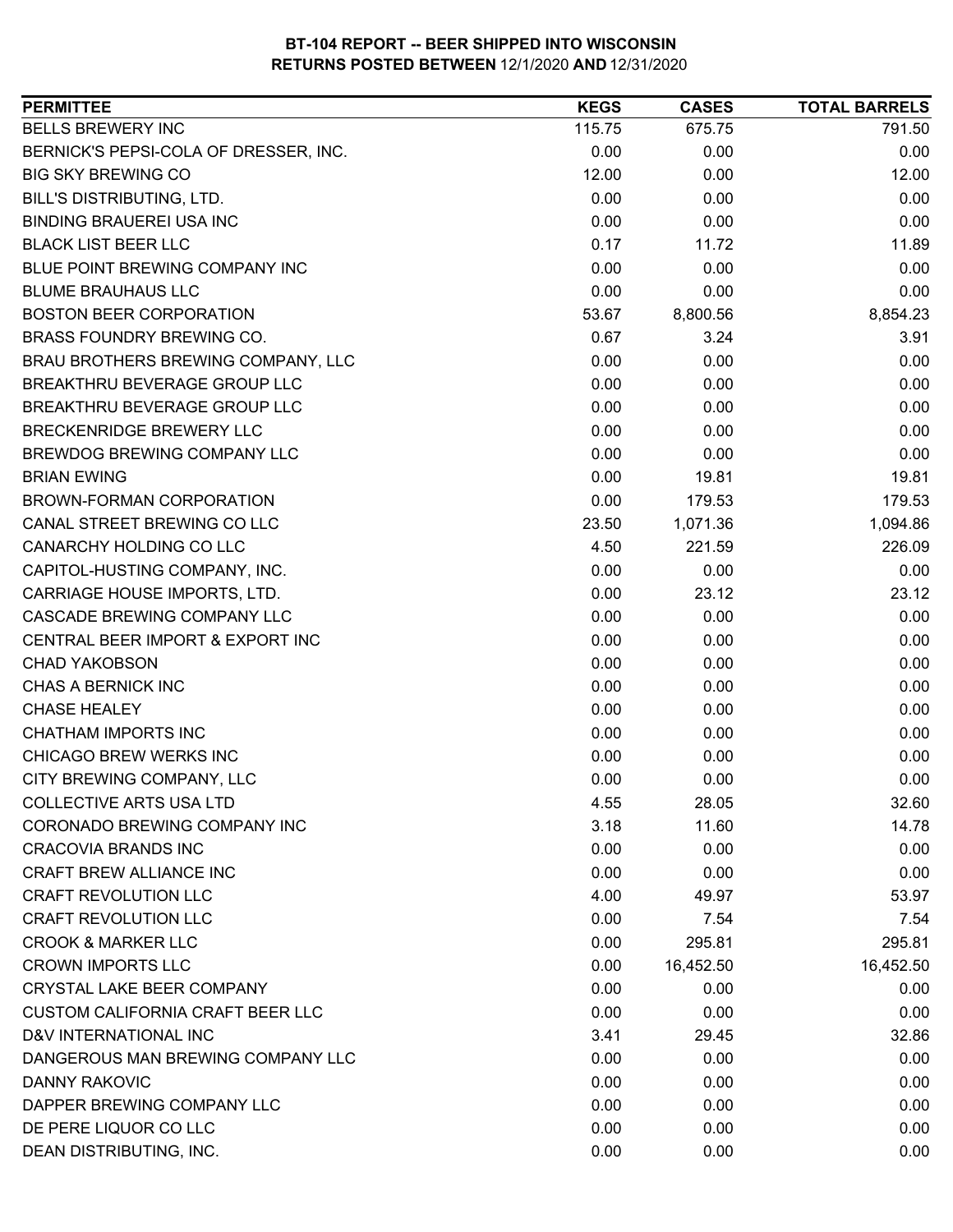| <b>BELLS BREWERY INC</b><br>115.75<br>675.75<br>791.50<br>BERNICK'S PEPSI-COLA OF DRESSER, INC.<br>0.00<br>0.00<br>0.00<br><b>BIG SKY BREWING CO</b><br>12.00<br>0.00<br>12.00<br>0.00<br>0.00<br>0.00<br>BILL'S DISTRIBUTING, LTD.<br>0.00<br><b>BINDING BRAUEREI USA INC</b><br>0.00<br>0.00<br><b>BLACK LIST BEER LLC</b><br>0.17<br>11.89<br>11.72<br>BLUE POINT BREWING COMPANY INC<br>0.00<br>0.00<br>0.00<br><b>BLUME BRAUHAUS LLC</b><br>0.00<br>0.00<br>0.00<br><b>BOSTON BEER CORPORATION</b><br>8,800.56<br>8,854.23<br>53.67<br>BRASS FOUNDRY BREWING CO.<br>3.24<br>3.91<br>0.67<br>BRAU BROTHERS BREWING COMPANY, LLC<br>0.00<br>0.00<br>0.00<br>BREAKTHRU BEVERAGE GROUP LLC<br>0.00<br>0.00<br>0.00<br>BREAKTHRU BEVERAGE GROUP LLC<br>0.00<br>0.00<br>0.00<br>BRECKENRIDGE BREWERY LLC<br>0.00<br>0.00<br>0.00<br>BREWDOG BREWING COMPANY LLC<br>0.00<br>0.00<br>0.00<br><b>BRIAN EWING</b><br>0.00<br>19.81<br>19.81<br><b>BROWN-FORMAN CORPORATION</b><br>0.00<br>179.53<br>179.53<br>CANAL STREET BREWING CO LLC<br>23.50<br>1,071.36<br>1,094.86<br>CANARCHY HOLDING CO LLC<br>221.59<br>226.09<br>4.50<br>0.00<br>0.00<br>CAPITOL-HUSTING COMPANY, INC.<br>0.00<br>CARRIAGE HOUSE IMPORTS, LTD.<br>0.00<br>23.12<br>23.12<br>CASCADE BREWING COMPANY LLC<br>0.00<br>0.00<br>0.00<br>CENTRAL BEER IMPORT & EXPORT INC<br>0.00<br>0.00<br>0.00<br><b>CHAD YAKOBSON</b><br>0.00<br>0.00<br>0.00<br>CHAS A BERNICK INC<br>0.00<br>0.00<br>0.00<br><b>CHASE HEALEY</b><br>0.00<br>0.00<br>0.00<br><b>CHATHAM IMPORTS INC</b><br>0.00<br>0.00<br>0.00<br>CHICAGO BREW WERKS INC<br>0.00<br>0.00<br>0.00<br>CITY BREWING COMPANY, LLC<br>0.00<br>0.00<br>0.00<br><b>COLLECTIVE ARTS USA LTD</b><br>28.05<br>4.55<br>CORONADO BREWING COMPANY INC<br>3.18<br>14.78<br>11.60<br><b>CRACOVIA BRANDS INC</b><br>0.00<br>0.00<br>0.00<br>CRAFT BREW ALLIANCE INC<br>0.00<br>0.00<br>0.00<br><b>CRAFT REVOLUTION LLC</b><br>4.00<br>49.97<br>53.97<br><b>CRAFT REVOLUTION LLC</b><br>0.00<br>7.54<br>7.54<br><b>CROOK &amp; MARKER LLC</b><br>0.00<br>295.81<br>295.81<br><b>CROWN IMPORTS LLC</b><br>0.00<br>16,452.50<br>16,452.50<br>CRYSTAL LAKE BEER COMPANY<br>0.00<br>0.00<br>0.00<br>0.00<br>0.00<br><b>CUSTOM CALIFORNIA CRAFT BEER LLC</b><br>0.00<br>D&V INTERNATIONAL INC<br>3.41<br>29.45<br>32.86<br>DANGEROUS MAN BREWING COMPANY LLC<br>0.00<br>0.00<br>0.00<br>DANNY RAKOVIC<br>0.00<br>0.00<br>0.00<br>DAPPER BREWING COMPANY LLC<br>0.00<br>0.00<br>0.00<br>DE PERE LIQUOR CO LLC<br>0.00<br>0.00<br>0.00 | <b>PERMITTEE</b> | <b>KEGS</b> | <b>CASES</b> | <b>TOTAL BARRELS</b> |
|---------------------------------------------------------------------------------------------------------------------------------------------------------------------------------------------------------------------------------------------------------------------------------------------------------------------------------------------------------------------------------------------------------------------------------------------------------------------------------------------------------------------------------------------------------------------------------------------------------------------------------------------------------------------------------------------------------------------------------------------------------------------------------------------------------------------------------------------------------------------------------------------------------------------------------------------------------------------------------------------------------------------------------------------------------------------------------------------------------------------------------------------------------------------------------------------------------------------------------------------------------------------------------------------------------------------------------------------------------------------------------------------------------------------------------------------------------------------------------------------------------------------------------------------------------------------------------------------------------------------------------------------------------------------------------------------------------------------------------------------------------------------------------------------------------------------------------------------------------------------------------------------------------------------------------------------------------------------------------------------------------------------------------------------------------------------------------------------------------------------------------------------------------------------------------------------------------------------------------------------------------------------------------------------------------------------------------------------------------------------------------------------------------------------------------------------------------------------------------------------------------------------------------------|------------------|-------------|--------------|----------------------|
|                                                                                                                                                                                                                                                                                                                                                                                                                                                                                                                                                                                                                                                                                                                                                                                                                                                                                                                                                                                                                                                                                                                                                                                                                                                                                                                                                                                                                                                                                                                                                                                                                                                                                                                                                                                                                                                                                                                                                                                                                                                                                                                                                                                                                                                                                                                                                                                                                                                                                                                                       |                  |             |              |                      |
|                                                                                                                                                                                                                                                                                                                                                                                                                                                                                                                                                                                                                                                                                                                                                                                                                                                                                                                                                                                                                                                                                                                                                                                                                                                                                                                                                                                                                                                                                                                                                                                                                                                                                                                                                                                                                                                                                                                                                                                                                                                                                                                                                                                                                                                                                                                                                                                                                                                                                                                                       |                  |             |              |                      |
|                                                                                                                                                                                                                                                                                                                                                                                                                                                                                                                                                                                                                                                                                                                                                                                                                                                                                                                                                                                                                                                                                                                                                                                                                                                                                                                                                                                                                                                                                                                                                                                                                                                                                                                                                                                                                                                                                                                                                                                                                                                                                                                                                                                                                                                                                                                                                                                                                                                                                                                                       |                  |             |              |                      |
|                                                                                                                                                                                                                                                                                                                                                                                                                                                                                                                                                                                                                                                                                                                                                                                                                                                                                                                                                                                                                                                                                                                                                                                                                                                                                                                                                                                                                                                                                                                                                                                                                                                                                                                                                                                                                                                                                                                                                                                                                                                                                                                                                                                                                                                                                                                                                                                                                                                                                                                                       |                  |             |              |                      |
|                                                                                                                                                                                                                                                                                                                                                                                                                                                                                                                                                                                                                                                                                                                                                                                                                                                                                                                                                                                                                                                                                                                                                                                                                                                                                                                                                                                                                                                                                                                                                                                                                                                                                                                                                                                                                                                                                                                                                                                                                                                                                                                                                                                                                                                                                                                                                                                                                                                                                                                                       |                  |             |              |                      |
| 32.60                                                                                                                                                                                                                                                                                                                                                                                                                                                                                                                                                                                                                                                                                                                                                                                                                                                                                                                                                                                                                                                                                                                                                                                                                                                                                                                                                                                                                                                                                                                                                                                                                                                                                                                                                                                                                                                                                                                                                                                                                                                                                                                                                                                                                                                                                                                                                                                                                                                                                                                                 |                  |             |              |                      |
|                                                                                                                                                                                                                                                                                                                                                                                                                                                                                                                                                                                                                                                                                                                                                                                                                                                                                                                                                                                                                                                                                                                                                                                                                                                                                                                                                                                                                                                                                                                                                                                                                                                                                                                                                                                                                                                                                                                                                                                                                                                                                                                                                                                                                                                                                                                                                                                                                                                                                                                                       |                  |             |              |                      |
|                                                                                                                                                                                                                                                                                                                                                                                                                                                                                                                                                                                                                                                                                                                                                                                                                                                                                                                                                                                                                                                                                                                                                                                                                                                                                                                                                                                                                                                                                                                                                                                                                                                                                                                                                                                                                                                                                                                                                                                                                                                                                                                                                                                                                                                                                                                                                                                                                                                                                                                                       |                  |             |              |                      |
|                                                                                                                                                                                                                                                                                                                                                                                                                                                                                                                                                                                                                                                                                                                                                                                                                                                                                                                                                                                                                                                                                                                                                                                                                                                                                                                                                                                                                                                                                                                                                                                                                                                                                                                                                                                                                                                                                                                                                                                                                                                                                                                                                                                                                                                                                                                                                                                                                                                                                                                                       |                  |             |              |                      |
|                                                                                                                                                                                                                                                                                                                                                                                                                                                                                                                                                                                                                                                                                                                                                                                                                                                                                                                                                                                                                                                                                                                                                                                                                                                                                                                                                                                                                                                                                                                                                                                                                                                                                                                                                                                                                                                                                                                                                                                                                                                                                                                                                                                                                                                                                                                                                                                                                                                                                                                                       |                  |             |              |                      |
|                                                                                                                                                                                                                                                                                                                                                                                                                                                                                                                                                                                                                                                                                                                                                                                                                                                                                                                                                                                                                                                                                                                                                                                                                                                                                                                                                                                                                                                                                                                                                                                                                                                                                                                                                                                                                                                                                                                                                                                                                                                                                                                                                                                                                                                                                                                                                                                                                                                                                                                                       |                  |             |              |                      |
|                                                                                                                                                                                                                                                                                                                                                                                                                                                                                                                                                                                                                                                                                                                                                                                                                                                                                                                                                                                                                                                                                                                                                                                                                                                                                                                                                                                                                                                                                                                                                                                                                                                                                                                                                                                                                                                                                                                                                                                                                                                                                                                                                                                                                                                                                                                                                                                                                                                                                                                                       |                  |             |              |                      |
|                                                                                                                                                                                                                                                                                                                                                                                                                                                                                                                                                                                                                                                                                                                                                                                                                                                                                                                                                                                                                                                                                                                                                                                                                                                                                                                                                                                                                                                                                                                                                                                                                                                                                                                                                                                                                                                                                                                                                                                                                                                                                                                                                                                                                                                                                                                                                                                                                                                                                                                                       |                  |             |              |                      |
|                                                                                                                                                                                                                                                                                                                                                                                                                                                                                                                                                                                                                                                                                                                                                                                                                                                                                                                                                                                                                                                                                                                                                                                                                                                                                                                                                                                                                                                                                                                                                                                                                                                                                                                                                                                                                                                                                                                                                                                                                                                                                                                                                                                                                                                                                                                                                                                                                                                                                                                                       |                  |             |              |                      |
|                                                                                                                                                                                                                                                                                                                                                                                                                                                                                                                                                                                                                                                                                                                                                                                                                                                                                                                                                                                                                                                                                                                                                                                                                                                                                                                                                                                                                                                                                                                                                                                                                                                                                                                                                                                                                                                                                                                                                                                                                                                                                                                                                                                                                                                                                                                                                                                                                                                                                                                                       |                  |             |              |                      |
|                                                                                                                                                                                                                                                                                                                                                                                                                                                                                                                                                                                                                                                                                                                                                                                                                                                                                                                                                                                                                                                                                                                                                                                                                                                                                                                                                                                                                                                                                                                                                                                                                                                                                                                                                                                                                                                                                                                                                                                                                                                                                                                                                                                                                                                                                                                                                                                                                                                                                                                                       |                  |             |              |                      |
|                                                                                                                                                                                                                                                                                                                                                                                                                                                                                                                                                                                                                                                                                                                                                                                                                                                                                                                                                                                                                                                                                                                                                                                                                                                                                                                                                                                                                                                                                                                                                                                                                                                                                                                                                                                                                                                                                                                                                                                                                                                                                                                                                                                                                                                                                                                                                                                                                                                                                                                                       |                  |             |              |                      |
|                                                                                                                                                                                                                                                                                                                                                                                                                                                                                                                                                                                                                                                                                                                                                                                                                                                                                                                                                                                                                                                                                                                                                                                                                                                                                                                                                                                                                                                                                                                                                                                                                                                                                                                                                                                                                                                                                                                                                                                                                                                                                                                                                                                                                                                                                                                                                                                                                                                                                                                                       |                  |             |              |                      |
|                                                                                                                                                                                                                                                                                                                                                                                                                                                                                                                                                                                                                                                                                                                                                                                                                                                                                                                                                                                                                                                                                                                                                                                                                                                                                                                                                                                                                                                                                                                                                                                                                                                                                                                                                                                                                                                                                                                                                                                                                                                                                                                                                                                                                                                                                                                                                                                                                                                                                                                                       |                  |             |              |                      |
|                                                                                                                                                                                                                                                                                                                                                                                                                                                                                                                                                                                                                                                                                                                                                                                                                                                                                                                                                                                                                                                                                                                                                                                                                                                                                                                                                                                                                                                                                                                                                                                                                                                                                                                                                                                                                                                                                                                                                                                                                                                                                                                                                                                                                                                                                                                                                                                                                                                                                                                                       |                  |             |              |                      |
|                                                                                                                                                                                                                                                                                                                                                                                                                                                                                                                                                                                                                                                                                                                                                                                                                                                                                                                                                                                                                                                                                                                                                                                                                                                                                                                                                                                                                                                                                                                                                                                                                                                                                                                                                                                                                                                                                                                                                                                                                                                                                                                                                                                                                                                                                                                                                                                                                                                                                                                                       |                  |             |              |                      |
|                                                                                                                                                                                                                                                                                                                                                                                                                                                                                                                                                                                                                                                                                                                                                                                                                                                                                                                                                                                                                                                                                                                                                                                                                                                                                                                                                                                                                                                                                                                                                                                                                                                                                                                                                                                                                                                                                                                                                                                                                                                                                                                                                                                                                                                                                                                                                                                                                                                                                                                                       |                  |             |              |                      |
|                                                                                                                                                                                                                                                                                                                                                                                                                                                                                                                                                                                                                                                                                                                                                                                                                                                                                                                                                                                                                                                                                                                                                                                                                                                                                                                                                                                                                                                                                                                                                                                                                                                                                                                                                                                                                                                                                                                                                                                                                                                                                                                                                                                                                                                                                                                                                                                                                                                                                                                                       |                  |             |              |                      |
|                                                                                                                                                                                                                                                                                                                                                                                                                                                                                                                                                                                                                                                                                                                                                                                                                                                                                                                                                                                                                                                                                                                                                                                                                                                                                                                                                                                                                                                                                                                                                                                                                                                                                                                                                                                                                                                                                                                                                                                                                                                                                                                                                                                                                                                                                                                                                                                                                                                                                                                                       |                  |             |              |                      |
|                                                                                                                                                                                                                                                                                                                                                                                                                                                                                                                                                                                                                                                                                                                                                                                                                                                                                                                                                                                                                                                                                                                                                                                                                                                                                                                                                                                                                                                                                                                                                                                                                                                                                                                                                                                                                                                                                                                                                                                                                                                                                                                                                                                                                                                                                                                                                                                                                                                                                                                                       |                  |             |              |                      |
|                                                                                                                                                                                                                                                                                                                                                                                                                                                                                                                                                                                                                                                                                                                                                                                                                                                                                                                                                                                                                                                                                                                                                                                                                                                                                                                                                                                                                                                                                                                                                                                                                                                                                                                                                                                                                                                                                                                                                                                                                                                                                                                                                                                                                                                                                                                                                                                                                                                                                                                                       |                  |             |              |                      |
|                                                                                                                                                                                                                                                                                                                                                                                                                                                                                                                                                                                                                                                                                                                                                                                                                                                                                                                                                                                                                                                                                                                                                                                                                                                                                                                                                                                                                                                                                                                                                                                                                                                                                                                                                                                                                                                                                                                                                                                                                                                                                                                                                                                                                                                                                                                                                                                                                                                                                                                                       |                  |             |              |                      |
|                                                                                                                                                                                                                                                                                                                                                                                                                                                                                                                                                                                                                                                                                                                                                                                                                                                                                                                                                                                                                                                                                                                                                                                                                                                                                                                                                                                                                                                                                                                                                                                                                                                                                                                                                                                                                                                                                                                                                                                                                                                                                                                                                                                                                                                                                                                                                                                                                                                                                                                                       |                  |             |              |                      |
|                                                                                                                                                                                                                                                                                                                                                                                                                                                                                                                                                                                                                                                                                                                                                                                                                                                                                                                                                                                                                                                                                                                                                                                                                                                                                                                                                                                                                                                                                                                                                                                                                                                                                                                                                                                                                                                                                                                                                                                                                                                                                                                                                                                                                                                                                                                                                                                                                                                                                                                                       |                  |             |              |                      |
|                                                                                                                                                                                                                                                                                                                                                                                                                                                                                                                                                                                                                                                                                                                                                                                                                                                                                                                                                                                                                                                                                                                                                                                                                                                                                                                                                                                                                                                                                                                                                                                                                                                                                                                                                                                                                                                                                                                                                                                                                                                                                                                                                                                                                                                                                                                                                                                                                                                                                                                                       |                  |             |              |                      |
|                                                                                                                                                                                                                                                                                                                                                                                                                                                                                                                                                                                                                                                                                                                                                                                                                                                                                                                                                                                                                                                                                                                                                                                                                                                                                                                                                                                                                                                                                                                                                                                                                                                                                                                                                                                                                                                                                                                                                                                                                                                                                                                                                                                                                                                                                                                                                                                                                                                                                                                                       |                  |             |              |                      |
|                                                                                                                                                                                                                                                                                                                                                                                                                                                                                                                                                                                                                                                                                                                                                                                                                                                                                                                                                                                                                                                                                                                                                                                                                                                                                                                                                                                                                                                                                                                                                                                                                                                                                                                                                                                                                                                                                                                                                                                                                                                                                                                                                                                                                                                                                                                                                                                                                                                                                                                                       |                  |             |              |                      |
|                                                                                                                                                                                                                                                                                                                                                                                                                                                                                                                                                                                                                                                                                                                                                                                                                                                                                                                                                                                                                                                                                                                                                                                                                                                                                                                                                                                                                                                                                                                                                                                                                                                                                                                                                                                                                                                                                                                                                                                                                                                                                                                                                                                                                                                                                                                                                                                                                                                                                                                                       |                  |             |              |                      |
|                                                                                                                                                                                                                                                                                                                                                                                                                                                                                                                                                                                                                                                                                                                                                                                                                                                                                                                                                                                                                                                                                                                                                                                                                                                                                                                                                                                                                                                                                                                                                                                                                                                                                                                                                                                                                                                                                                                                                                                                                                                                                                                                                                                                                                                                                                                                                                                                                                                                                                                                       |                  |             |              |                      |
|                                                                                                                                                                                                                                                                                                                                                                                                                                                                                                                                                                                                                                                                                                                                                                                                                                                                                                                                                                                                                                                                                                                                                                                                                                                                                                                                                                                                                                                                                                                                                                                                                                                                                                                                                                                                                                                                                                                                                                                                                                                                                                                                                                                                                                                                                                                                                                                                                                                                                                                                       |                  |             |              |                      |
|                                                                                                                                                                                                                                                                                                                                                                                                                                                                                                                                                                                                                                                                                                                                                                                                                                                                                                                                                                                                                                                                                                                                                                                                                                                                                                                                                                                                                                                                                                                                                                                                                                                                                                                                                                                                                                                                                                                                                                                                                                                                                                                                                                                                                                                                                                                                                                                                                                                                                                                                       |                  |             |              |                      |
|                                                                                                                                                                                                                                                                                                                                                                                                                                                                                                                                                                                                                                                                                                                                                                                                                                                                                                                                                                                                                                                                                                                                                                                                                                                                                                                                                                                                                                                                                                                                                                                                                                                                                                                                                                                                                                                                                                                                                                                                                                                                                                                                                                                                                                                                                                                                                                                                                                                                                                                                       |                  |             |              |                      |
|                                                                                                                                                                                                                                                                                                                                                                                                                                                                                                                                                                                                                                                                                                                                                                                                                                                                                                                                                                                                                                                                                                                                                                                                                                                                                                                                                                                                                                                                                                                                                                                                                                                                                                                                                                                                                                                                                                                                                                                                                                                                                                                                                                                                                                                                                                                                                                                                                                                                                                                                       |                  |             |              |                      |
|                                                                                                                                                                                                                                                                                                                                                                                                                                                                                                                                                                                                                                                                                                                                                                                                                                                                                                                                                                                                                                                                                                                                                                                                                                                                                                                                                                                                                                                                                                                                                                                                                                                                                                                                                                                                                                                                                                                                                                                                                                                                                                                                                                                                                                                                                                                                                                                                                                                                                                                                       |                  |             |              |                      |
|                                                                                                                                                                                                                                                                                                                                                                                                                                                                                                                                                                                                                                                                                                                                                                                                                                                                                                                                                                                                                                                                                                                                                                                                                                                                                                                                                                                                                                                                                                                                                                                                                                                                                                                                                                                                                                                                                                                                                                                                                                                                                                                                                                                                                                                                                                                                                                                                                                                                                                                                       |                  |             |              |                      |
|                                                                                                                                                                                                                                                                                                                                                                                                                                                                                                                                                                                                                                                                                                                                                                                                                                                                                                                                                                                                                                                                                                                                                                                                                                                                                                                                                                                                                                                                                                                                                                                                                                                                                                                                                                                                                                                                                                                                                                                                                                                                                                                                                                                                                                                                                                                                                                                                                                                                                                                                       |                  |             |              |                      |
|                                                                                                                                                                                                                                                                                                                                                                                                                                                                                                                                                                                                                                                                                                                                                                                                                                                                                                                                                                                                                                                                                                                                                                                                                                                                                                                                                                                                                                                                                                                                                                                                                                                                                                                                                                                                                                                                                                                                                                                                                                                                                                                                                                                                                                                                                                                                                                                                                                                                                                                                       |                  |             |              |                      |
|                                                                                                                                                                                                                                                                                                                                                                                                                                                                                                                                                                                                                                                                                                                                                                                                                                                                                                                                                                                                                                                                                                                                                                                                                                                                                                                                                                                                                                                                                                                                                                                                                                                                                                                                                                                                                                                                                                                                                                                                                                                                                                                                                                                                                                                                                                                                                                                                                                                                                                                                       |                  |             |              |                      |
|                                                                                                                                                                                                                                                                                                                                                                                                                                                                                                                                                                                                                                                                                                                                                                                                                                                                                                                                                                                                                                                                                                                                                                                                                                                                                                                                                                                                                                                                                                                                                                                                                                                                                                                                                                                                                                                                                                                                                                                                                                                                                                                                                                                                                                                                                                                                                                                                                                                                                                                                       |                  |             |              |                      |
| DEAN DISTRIBUTING, INC.<br>0.00<br>0.00<br>0.00                                                                                                                                                                                                                                                                                                                                                                                                                                                                                                                                                                                                                                                                                                                                                                                                                                                                                                                                                                                                                                                                                                                                                                                                                                                                                                                                                                                                                                                                                                                                                                                                                                                                                                                                                                                                                                                                                                                                                                                                                                                                                                                                                                                                                                                                                                                                                                                                                                                                                       |                  |             |              |                      |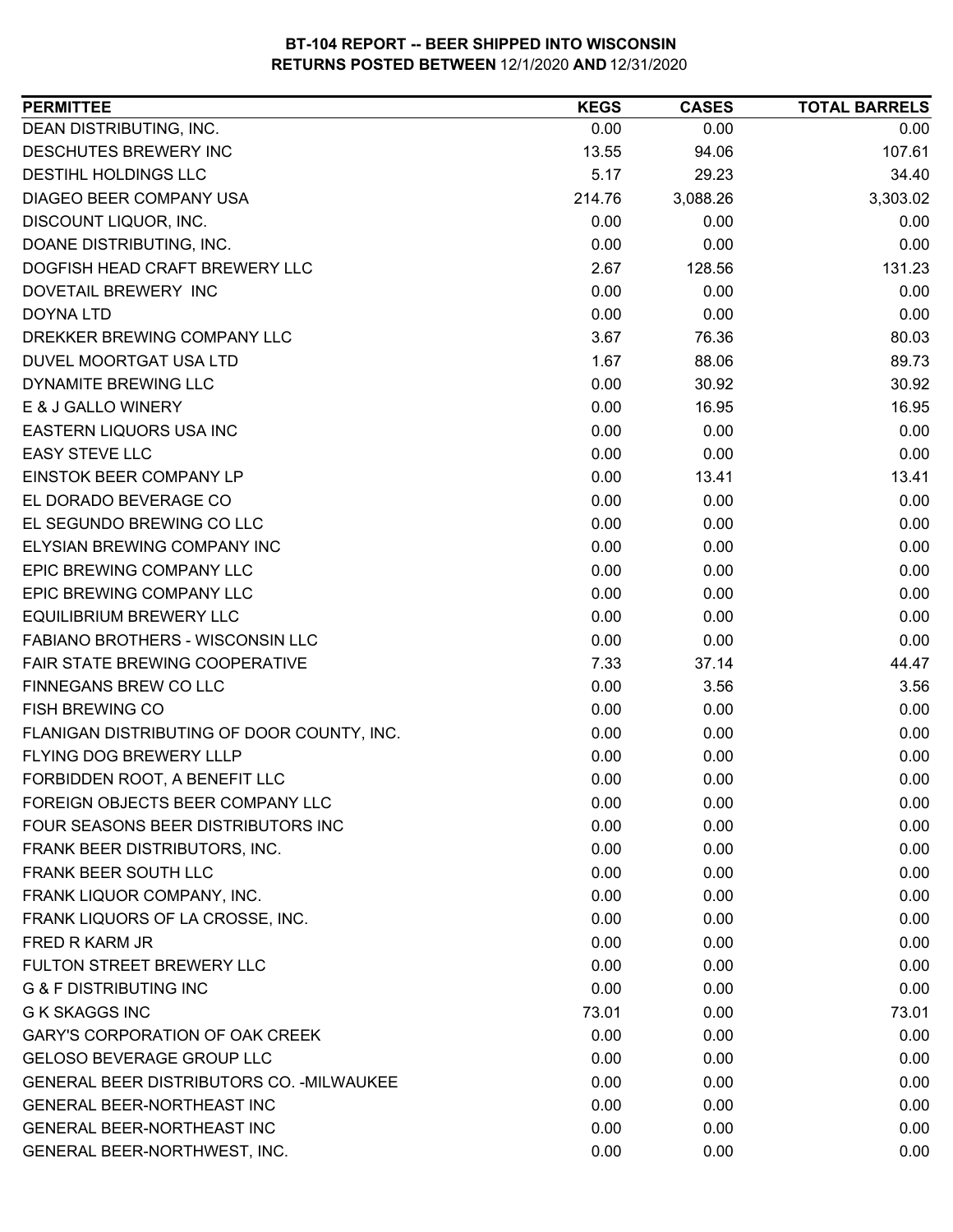| <b>PERMITTEE</b>                           | <b>KEGS</b> | <b>CASES</b> | <b>TOTAL BARRELS</b> |
|--------------------------------------------|-------------|--------------|----------------------|
| DEAN DISTRIBUTING, INC.                    | 0.00        | 0.00         | 0.00                 |
| DESCHUTES BREWERY INC                      | 13.55       | 94.06        | 107.61               |
| DESTIHL HOLDINGS LLC                       | 5.17        | 29.23        | 34.40                |
| DIAGEO BEER COMPANY USA                    | 214.76      | 3,088.26     | 3,303.02             |
| DISCOUNT LIQUOR, INC.                      | 0.00        | 0.00         | 0.00                 |
| DOANE DISTRIBUTING, INC.                   | 0.00        | 0.00         | 0.00                 |
| DOGFISH HEAD CRAFT BREWERY LLC             | 2.67        | 128.56       | 131.23               |
| DOVETAIL BREWERY INC                       | 0.00        | 0.00         | 0.00                 |
| <b>DOYNA LTD</b>                           | 0.00        | 0.00         | 0.00                 |
| DREKKER BREWING COMPANY LLC                | 3.67        | 76.36        | 80.03                |
| DUVEL MOORTGAT USA LTD                     | 1.67        | 88.06        | 89.73                |
| DYNAMITE BREWING LLC                       | 0.00        | 30.92        | 30.92                |
| E & J GALLO WINERY                         | 0.00        | 16.95        | 16.95                |
| EASTERN LIQUORS USA INC                    | 0.00        | 0.00         | 0.00                 |
| <b>EASY STEVE LLC</b>                      | 0.00        | 0.00         | 0.00                 |
| EINSTOK BEER COMPANY LP                    | 0.00        | 13.41        | 13.41                |
| EL DORADO BEVERAGE CO                      | 0.00        | 0.00         | 0.00                 |
| EL SEGUNDO BREWING CO LLC                  | 0.00        | 0.00         | 0.00                 |
| ELYSIAN BREWING COMPANY INC                | 0.00        | 0.00         | 0.00                 |
| EPIC BREWING COMPANY LLC                   | 0.00        | 0.00         | 0.00                 |
| EPIC BREWING COMPANY LLC                   | 0.00        | 0.00         | 0.00                 |
| <b>EQUILIBRIUM BREWERY LLC</b>             | 0.00        | 0.00         | 0.00                 |
| <b>FABIANO BROTHERS - WISCONSIN LLC</b>    | 0.00        | 0.00         | 0.00                 |
| FAIR STATE BREWING COOPERATIVE             | 7.33        | 37.14        | 44.47                |
| FINNEGANS BREW CO LLC                      | 0.00        | 3.56         | 3.56                 |
| FISH BREWING CO                            | 0.00        | 0.00         | 0.00                 |
| FLANIGAN DISTRIBUTING OF DOOR COUNTY, INC. | 0.00        | 0.00         | 0.00                 |
| FLYING DOG BREWERY LLLP                    | 0.00        | 0.00         | 0.00                 |
| FORBIDDEN ROOT, A BENEFIT LLC              | 0.00        | 0.00         | 0.00                 |
| FOREIGN OBJECTS BEER COMPANY LLC           | 0.00        | 0.00         | 0.00                 |
| FOUR SEASONS BEER DISTRIBUTORS INC         | 0.00        | 0.00         | 0.00                 |
| FRANK BEER DISTRIBUTORS, INC.              | 0.00        | 0.00         | 0.00                 |
| FRANK BEER SOUTH LLC                       | 0.00        | 0.00         | 0.00                 |
| FRANK LIQUOR COMPANY, INC.                 | 0.00        | 0.00         | 0.00                 |
| FRANK LIQUORS OF LA CROSSE, INC.           | 0.00        | 0.00         | 0.00                 |
| <b>FRED R KARM JR</b>                      | 0.00        | 0.00         | 0.00                 |
| FULTON STREET BREWERY LLC                  | 0.00        | 0.00         | 0.00                 |
| <b>G &amp; F DISTRIBUTING INC</b>          | 0.00        | 0.00         | 0.00                 |
| <b>G K SKAGGS INC</b>                      | 73.01       | 0.00         | 73.01                |
| <b>GARY'S CORPORATION OF OAK CREEK</b>     | 0.00        | 0.00         | 0.00                 |
| <b>GELOSO BEVERAGE GROUP LLC</b>           | 0.00        | 0.00         | 0.00                 |
| GENERAL BEER DISTRIBUTORS CO. - MILWAUKEE  | 0.00        | 0.00         | 0.00                 |
| <b>GENERAL BEER-NORTHEAST INC</b>          | 0.00        | 0.00         | 0.00                 |
| GENERAL BEER-NORTHEAST INC                 | 0.00        | 0.00         | 0.00                 |
| GENERAL BEER-NORTHWEST, INC.               | 0.00        | 0.00         | 0.00                 |
|                                            |             |              |                      |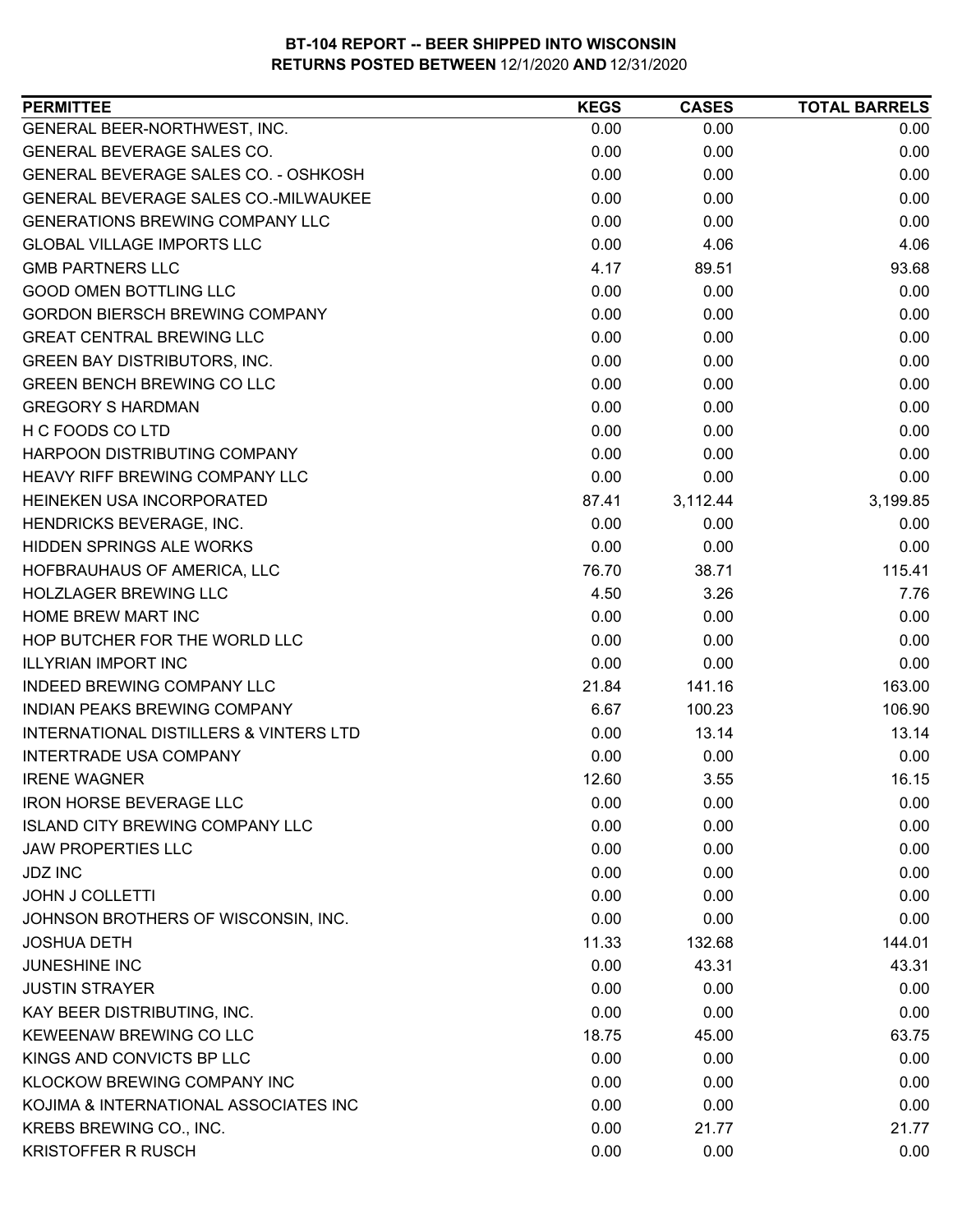| <b>PERMITTEE</b>                                  | <b>KEGS</b> | <b>CASES</b> | <b>TOTAL BARRELS</b> |
|---------------------------------------------------|-------------|--------------|----------------------|
| GENERAL BEER-NORTHWEST, INC.                      | 0.00        | 0.00         | 0.00                 |
| GENERAL BEVERAGE SALES CO.                        | 0.00        | 0.00         | 0.00                 |
| GENERAL BEVERAGE SALES CO. - OSHKOSH              | 0.00        | 0.00         | 0.00                 |
| GENERAL BEVERAGE SALES CO.-MILWAUKEE              | 0.00        | 0.00         | 0.00                 |
| <b>GENERATIONS BREWING COMPANY LLC</b>            | 0.00        | 0.00         | 0.00                 |
| <b>GLOBAL VILLAGE IMPORTS LLC</b>                 | 0.00        | 4.06         | 4.06                 |
| <b>GMB PARTNERS LLC</b>                           | 4.17        | 89.51        | 93.68                |
| <b>GOOD OMEN BOTTLING LLC</b>                     | 0.00        | 0.00         | 0.00                 |
| <b>GORDON BIERSCH BREWING COMPANY</b>             | 0.00        | 0.00         | 0.00                 |
| <b>GREAT CENTRAL BREWING LLC</b>                  | 0.00        | 0.00         | 0.00                 |
| <b>GREEN BAY DISTRIBUTORS, INC.</b>               | 0.00        | 0.00         | 0.00                 |
| <b>GREEN BENCH BREWING CO LLC</b>                 | 0.00        | 0.00         | 0.00                 |
| <b>GREGORY S HARDMAN</b>                          | 0.00        | 0.00         | 0.00                 |
| H C FOODS CO LTD                                  | 0.00        | 0.00         | 0.00                 |
| HARPOON DISTRIBUTING COMPANY                      | 0.00        | 0.00         | 0.00                 |
| <b>HEAVY RIFF BREWING COMPANY LLC</b>             | 0.00        | 0.00         | 0.00                 |
| HEINEKEN USA INCORPORATED                         | 87.41       | 3,112.44     | 3,199.85             |
| HENDRICKS BEVERAGE, INC.                          | 0.00        | 0.00         | 0.00                 |
| <b>HIDDEN SPRINGS ALE WORKS</b>                   | 0.00        | 0.00         | 0.00                 |
| HOFBRAUHAUS OF AMERICA, LLC                       | 76.70       | 38.71        | 115.41               |
| <b>HOLZLAGER BREWING LLC</b>                      | 4.50        | 3.26         | 7.76                 |
| HOME BREW MART INC                                | 0.00        | 0.00         | 0.00                 |
| HOP BUTCHER FOR THE WORLD LLC                     | 0.00        | 0.00         | 0.00                 |
| <b>ILLYRIAN IMPORT INC</b>                        | 0.00        | 0.00         | 0.00                 |
| <b>INDEED BREWING COMPANY LLC</b>                 | 21.84       | 141.16       | 163.00               |
| INDIAN PEAKS BREWING COMPANY                      | 6.67        | 100.23       | 106.90               |
| <b>INTERNATIONAL DISTILLERS &amp; VINTERS LTD</b> | 0.00        | 13.14        | 13.14                |
| <b>INTERTRADE USA COMPANY</b>                     | 0.00        | 0.00         | 0.00                 |
| <b>IRENE WAGNER</b>                               | 12.60       | 3.55         | 16.15                |
| <b>IRON HORSE BEVERAGE LLC</b>                    | 0.00        | 0.00         | 0.00                 |
| <b>ISLAND CITY BREWING COMPANY LLC</b>            | 0.00        | 0.00         | 0.00                 |
| <b>JAW PROPERTIES LLC</b>                         | 0.00        | 0.00         | 0.00                 |
| <b>JDZ INC</b>                                    | 0.00        | 0.00         | 0.00                 |
| <b>JOHN J COLLETTI</b>                            | 0.00        | 0.00         | 0.00                 |
| JOHNSON BROTHERS OF WISCONSIN, INC.               | 0.00        | 0.00         | 0.00                 |
| <b>JOSHUA DETH</b>                                | 11.33       | 132.68       | 144.01               |
| <b>JUNESHINE INC</b>                              | 0.00        | 43.31        | 43.31                |
| <b>JUSTIN STRAYER</b>                             | 0.00        | 0.00         | 0.00                 |
| KAY BEER DISTRIBUTING, INC.                       | 0.00        | 0.00         | 0.00                 |
| KEWEENAW BREWING CO LLC                           | 18.75       | 45.00        | 63.75                |
| KINGS AND CONVICTS BP LLC                         | 0.00        | 0.00         | 0.00                 |
| <b>KLOCKOW BREWING COMPANY INC</b>                | 0.00        | 0.00         | 0.00                 |
| KOJIMA & INTERNATIONAL ASSOCIATES INC             | 0.00        | 0.00         | 0.00                 |
| KREBS BREWING CO., INC.                           | 0.00        | 21.77        | 21.77                |
| <b>KRISTOFFER R RUSCH</b>                         | 0.00        | 0.00         | 0.00                 |
|                                                   |             |              |                      |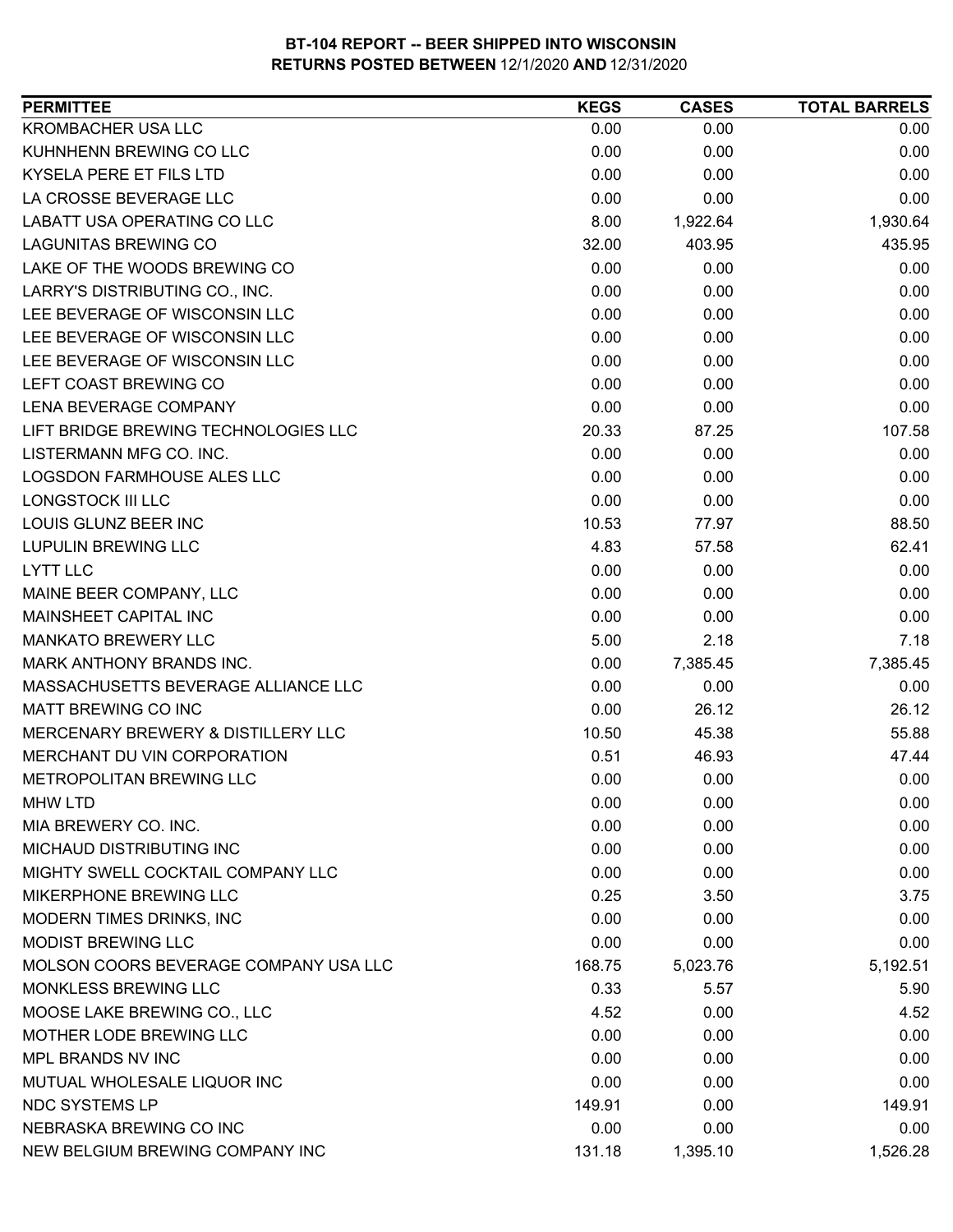| <b>PERMITTEE</b>                      | <b>KEGS</b> | <b>CASES</b> | <b>TOTAL BARRELS</b> |
|---------------------------------------|-------------|--------------|----------------------|
| <b>KROMBACHER USA LLC</b>             | 0.00        | 0.00         | 0.00                 |
| KUHNHENN BREWING CO LLC               | 0.00        | 0.00         | 0.00                 |
| KYSELA PERE ET FILS LTD               | 0.00        | 0.00         | 0.00                 |
| LA CROSSE BEVERAGE LLC                | 0.00        | 0.00         | 0.00                 |
| LABATT USA OPERATING CO LLC           | 8.00        | 1,922.64     | 1,930.64             |
| <b>LAGUNITAS BREWING CO</b>           | 32.00       | 403.95       | 435.95               |
| LAKE OF THE WOODS BREWING CO          | 0.00        | 0.00         | 0.00                 |
| LARRY'S DISTRIBUTING CO., INC.        | 0.00        | 0.00         | 0.00                 |
| LEE BEVERAGE OF WISCONSIN LLC         | 0.00        | 0.00         | 0.00                 |
| LEE BEVERAGE OF WISCONSIN LLC         | 0.00        | 0.00         | 0.00                 |
| LEE BEVERAGE OF WISCONSIN LLC         | 0.00        | 0.00         | 0.00                 |
| LEFT COAST BREWING CO                 | 0.00        | 0.00         | 0.00                 |
| LENA BEVERAGE COMPANY                 | 0.00        | 0.00         | 0.00                 |
| LIFT BRIDGE BREWING TECHNOLOGIES LLC  | 20.33       | 87.25        | 107.58               |
| LISTERMANN MFG CO. INC.               | 0.00        | 0.00         | 0.00                 |
| <b>LOGSDON FARMHOUSE ALES LLC</b>     | 0.00        | 0.00         | 0.00                 |
| LONGSTOCK III LLC                     | 0.00        | 0.00         | 0.00                 |
| LOUIS GLUNZ BEER INC                  | 10.53       | 77.97        | 88.50                |
| <b>LUPULIN BREWING LLC</b>            | 4.83        | 57.58        | 62.41                |
| <b>LYTT LLC</b>                       | 0.00        | 0.00         | 0.00                 |
| MAINE BEER COMPANY, LLC               | 0.00        | 0.00         | 0.00                 |
| MAINSHEET CAPITAL INC                 | 0.00        | 0.00         | 0.00                 |
| <b>MANKATO BREWERY LLC</b>            | 5.00        | 2.18         | 7.18                 |
| MARK ANTHONY BRANDS INC.              | 0.00        | 7,385.45     | 7,385.45             |
| MASSACHUSETTS BEVERAGE ALLIANCE LLC   | 0.00        | 0.00         | 0.00                 |
| MATT BREWING CO INC                   | 0.00        | 26.12        | 26.12                |
| MERCENARY BREWERY & DISTILLERY LLC    | 10.50       | 45.38        | 55.88                |
| MERCHANT DU VIN CORPORATION           | 0.51        | 46.93        | 47.44                |
| <b>METROPOLITAN BREWING LLC</b>       | 0.00        | 0.00         | 0.00                 |
| <b>MHW LTD</b>                        | 0.00        | 0.00         | 0.00                 |
| MIA BREWERY CO. INC.                  | 0.00        | 0.00         | 0.00                 |
| <b>MICHAUD DISTRIBUTING INC</b>       | 0.00        | 0.00         | 0.00                 |
| MIGHTY SWELL COCKTAIL COMPANY LLC     | 0.00        | 0.00         | 0.00                 |
| MIKERPHONE BREWING LLC                | 0.25        | 3.50         | 3.75                 |
| MODERN TIMES DRINKS, INC              | 0.00        | 0.00         | 0.00                 |
| <b>MODIST BREWING LLC</b>             | 0.00        | 0.00         | 0.00                 |
| MOLSON COORS BEVERAGE COMPANY USA LLC | 168.75      | 5,023.76     | 5,192.51             |
| MONKLESS BREWING LLC                  | 0.33        | 5.57         | 5.90                 |
| MOOSE LAKE BREWING CO., LLC           | 4.52        | 0.00         | 4.52                 |
| MOTHER LODE BREWING LLC               | 0.00        | 0.00         | 0.00                 |
| MPL BRANDS NV INC                     | 0.00        | 0.00         | 0.00                 |
| MUTUAL WHOLESALE LIQUOR INC           | 0.00        | 0.00         | 0.00                 |
| <b>NDC SYSTEMS LP</b>                 | 149.91      | 0.00         | 149.91               |
| NEBRASKA BREWING CO INC               | 0.00        | 0.00         | 0.00                 |
| NEW BELGIUM BREWING COMPANY INC       | 131.18      | 1,395.10     | 1,526.28             |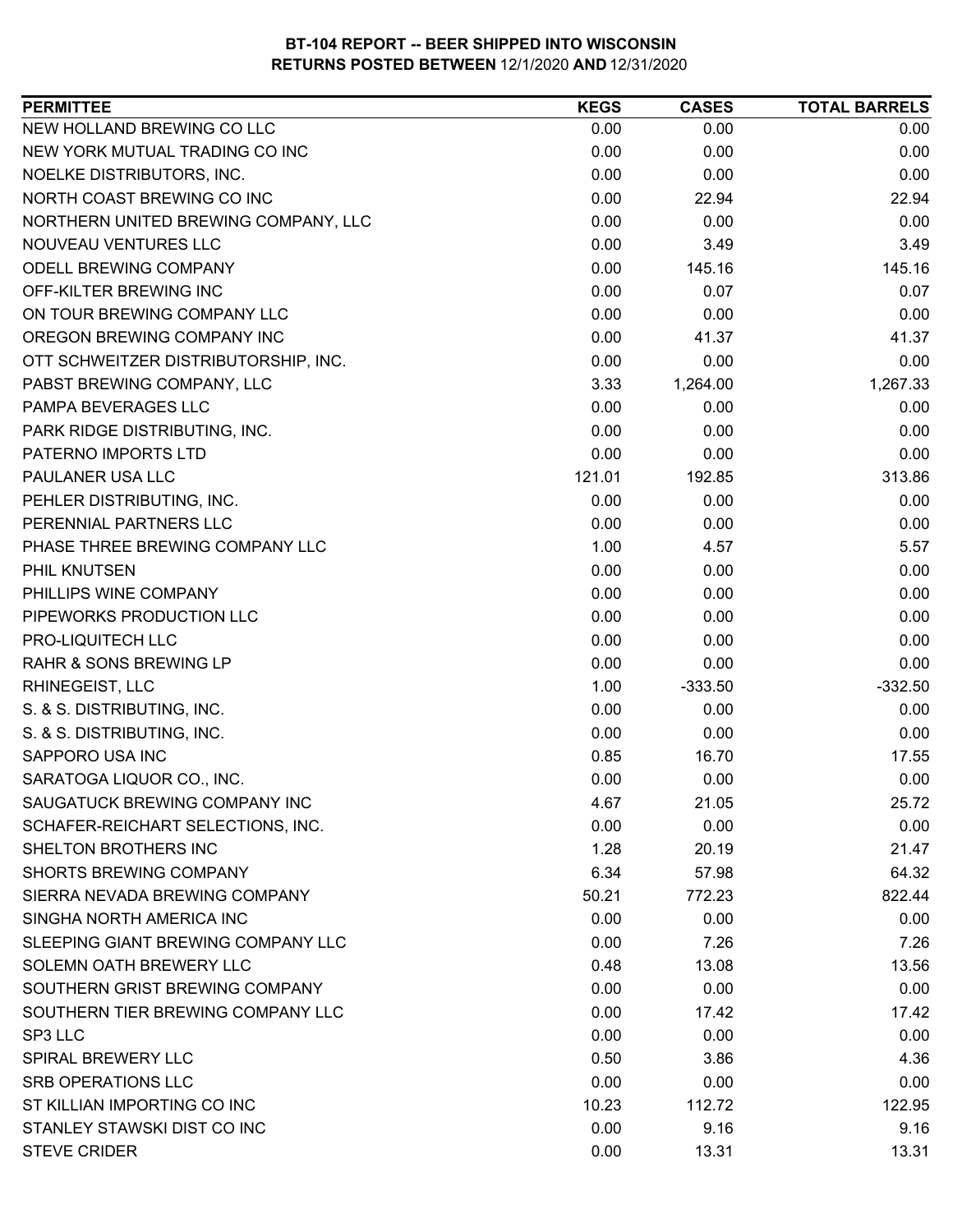| <b>PERMITTEE</b>                     | <b>KEGS</b> | <b>CASES</b> | <b>TOTAL BARRELS</b> |
|--------------------------------------|-------------|--------------|----------------------|
| NEW HOLLAND BREWING CO LLC           | 0.00        | 0.00         | 0.00                 |
| NEW YORK MUTUAL TRADING CO INC       | 0.00        | 0.00         | 0.00                 |
| NOELKE DISTRIBUTORS, INC.            | 0.00        | 0.00         | 0.00                 |
| NORTH COAST BREWING CO INC           | 0.00        | 22.94        | 22.94                |
| NORTHERN UNITED BREWING COMPANY, LLC | 0.00        | 0.00         | 0.00                 |
| NOUVEAU VENTURES LLC                 | 0.00        | 3.49         | 3.49                 |
| <b>ODELL BREWING COMPANY</b>         | 0.00        | 145.16       | 145.16               |
| OFF-KILTER BREWING INC               | 0.00        | 0.07         | 0.07                 |
| ON TOUR BREWING COMPANY LLC          | 0.00        | 0.00         | 0.00                 |
| OREGON BREWING COMPANY INC           | 0.00        | 41.37        | 41.37                |
| OTT SCHWEITZER DISTRIBUTORSHIP, INC. | 0.00        | 0.00         | 0.00                 |
| PABST BREWING COMPANY, LLC           | 3.33        | 1,264.00     | 1,267.33             |
| PAMPA BEVERAGES LLC                  | 0.00        | 0.00         | 0.00                 |
| PARK RIDGE DISTRIBUTING, INC.        | 0.00        | 0.00         | 0.00                 |
| PATERNO IMPORTS LTD                  | 0.00        | 0.00         | 0.00                 |
| PAULANER USA LLC                     | 121.01      | 192.85       | 313.86               |
| PEHLER DISTRIBUTING, INC.            | 0.00        | 0.00         | 0.00                 |
| PERENNIAL PARTNERS LLC               | 0.00        | 0.00         | 0.00                 |
| PHASE THREE BREWING COMPANY LLC      | 1.00        | 4.57         | 5.57                 |
| PHIL KNUTSEN                         | 0.00        | 0.00         | 0.00                 |
| PHILLIPS WINE COMPANY                | 0.00        | 0.00         | 0.00                 |
| PIPEWORKS PRODUCTION LLC             | 0.00        | 0.00         | 0.00                 |
| PRO-LIQUITECH LLC                    | 0.00        | 0.00         | 0.00                 |
| RAHR & SONS BREWING LP               | 0.00        | 0.00         | 0.00                 |
| <b>RHINEGEIST, LLC</b>               | 1.00        | $-333.50$    | $-332.50$            |
| S. & S. DISTRIBUTING, INC.           | 0.00        | 0.00         | 0.00                 |
| S. & S. DISTRIBUTING, INC.           | 0.00        | 0.00         | 0.00                 |
| SAPPORO USA INC                      | 0.85        | 16.70        | 17.55                |
| SARATOGA LIQUOR CO., INC.            | 0.00        | 0.00         | 0.00                 |
| SAUGATUCK BREWING COMPANY INC        | 4.67        | 21.05        | 25.72                |
| SCHAFER-REICHART SELECTIONS, INC.    | 0.00        | 0.00         | 0.00                 |
| <b>SHELTON BROTHERS INC</b>          | 1.28        | 20.19        | 21.47                |
| <b>SHORTS BREWING COMPANY</b>        | 6.34        | 57.98        | 64.32                |
| SIERRA NEVADA BREWING COMPANY        | 50.21       | 772.23       | 822.44               |
| SINGHA NORTH AMERICA INC             | 0.00        | 0.00         | 0.00                 |
| SLEEPING GIANT BREWING COMPANY LLC   | 0.00        | 7.26         | 7.26                 |
| SOLEMN OATH BREWERY LLC              | 0.48        | 13.08        | 13.56                |
| SOUTHERN GRIST BREWING COMPANY       | 0.00        | 0.00         | 0.00                 |
| SOUTHERN TIER BREWING COMPANY LLC    | 0.00        | 17.42        | 17.42                |
| SP3 LLC                              | 0.00        | 0.00         | 0.00                 |
| <b>SPIRAL BREWERY LLC</b>            | 0.50        | 3.86         | 4.36                 |
| <b>SRB OPERATIONS LLC</b>            | 0.00        | 0.00         | 0.00                 |
| ST KILLIAN IMPORTING CO INC          | 10.23       | 112.72       | 122.95               |
| STANLEY STAWSKI DIST CO INC          | 0.00        | 9.16         | 9.16                 |
| <b>STEVE CRIDER</b>                  | 0.00        | 13.31        | 13.31                |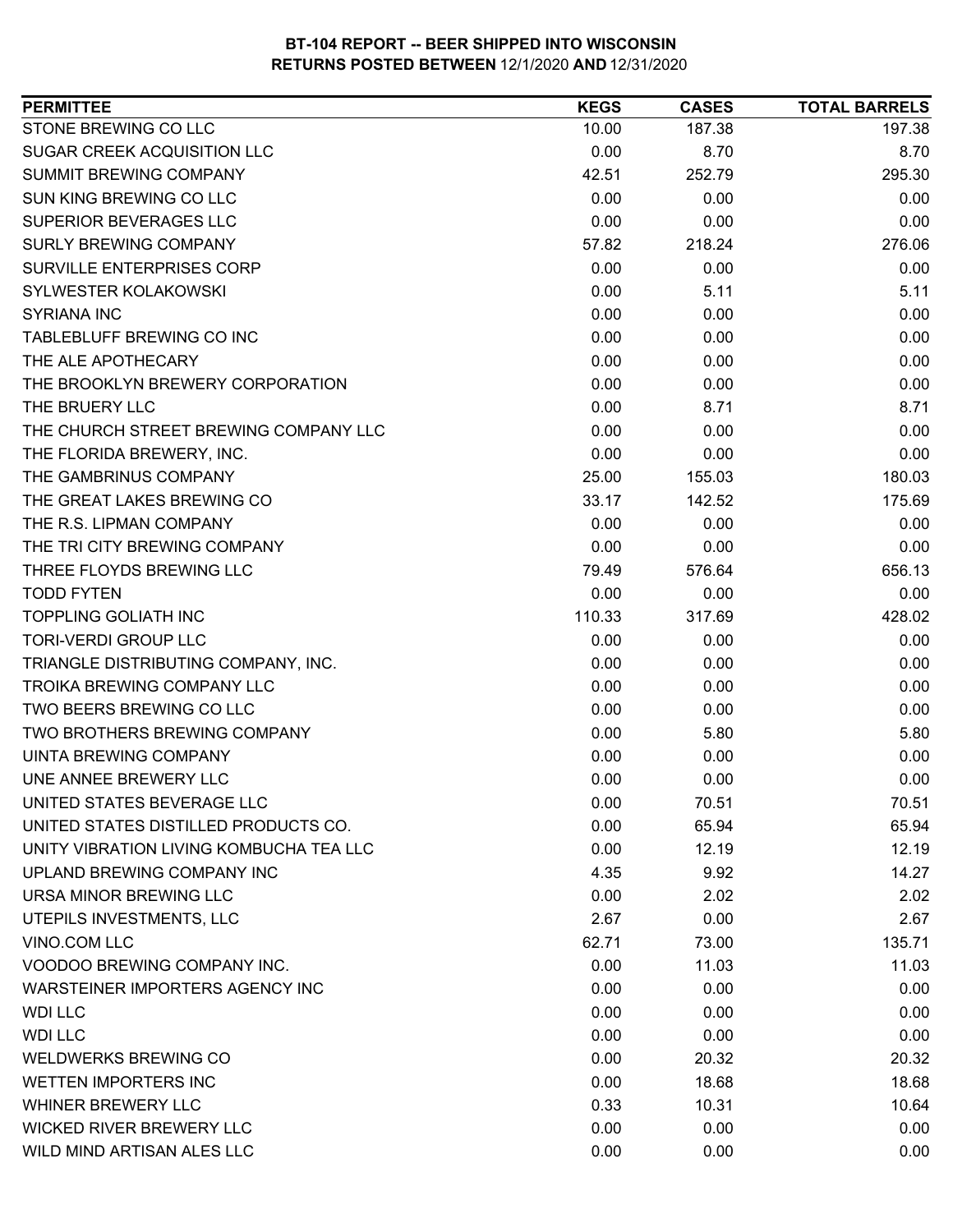| 187.38<br>197.38<br>10.00<br>0.00<br>8.70<br>8.70<br>295.30<br>42.51<br>252.79<br>0.00<br>0.00<br>0.00<br>0.00<br>0.00<br>0.00<br>57.82<br>218.24<br>276.06<br>0.00<br>0.00<br>0.00<br>5.11<br>0.00<br>5.11<br>0.00<br>0.00<br>0.00<br>0.00<br>0.00<br>0.00<br>0.00<br>0.00<br>0.00<br>0.00<br>0.00<br>0.00<br>0.00<br>8.71<br>8.71<br>0.00<br>0.00<br>0.00<br>0.00<br>0.00<br>0.00<br>25.00<br>180.03<br>155.03<br>33.17<br>142.52<br>175.69<br>0.00<br>0.00<br>0.00<br>0.00<br>0.00<br>0.00<br>656.13<br>79.49<br>576.64<br>0.00<br>0.00<br>0.00<br><b>TODD FYTEN</b><br><b>TOPPLING GOLIATH INC</b><br>110.33<br>428.02<br>317.69<br><b>TORI-VERDI GROUP LLC</b><br>0.00<br>0.00<br>0.00<br>TRIANGLE DISTRIBUTING COMPANY, INC.<br>0.00<br>0.00<br>0.00<br><b>TROIKA BREWING COMPANY LLC</b><br>0.00<br>0.00<br>0.00<br>TWO BEERS BREWING CO LLC<br>0.00<br>0.00<br>0.00<br>TWO BROTHERS BREWING COMPANY<br>0.00<br>5.80<br>5.80<br>0.00<br>0.00<br>0.00<br>0.00<br>0.00<br>0.00<br>70.51<br>70.51<br>0.00<br>0.00<br>65.94<br>65.94<br>12.19<br>0.00<br>12.19<br>14.27<br>4.35<br>9.92<br>0.00<br>2.02<br>2.02<br>2.67<br>0.00<br>2.67<br>135.71<br>62.71<br>73.00<br>11.03<br>0.00<br>11.03<br>0.00<br>0.00<br>0.00<br>0.00<br>0.00<br>0.00<br>0.00<br>0.00<br>0.00<br>0.00<br>20.32<br>20.32<br>0.00<br>18.68<br>18.68 | <b>PERMITTEE</b>                        | <b>KEGS</b> | <b>CASES</b> | <b>TOTAL BARRELS</b> |
|------------------------------------------------------------------------------------------------------------------------------------------------------------------------------------------------------------------------------------------------------------------------------------------------------------------------------------------------------------------------------------------------------------------------------------------------------------------------------------------------------------------------------------------------------------------------------------------------------------------------------------------------------------------------------------------------------------------------------------------------------------------------------------------------------------------------------------------------------------------------------------------------------------------------------------------------------------------------------------------------------------------------------------------------------------------------------------------------------------------------------------------------------------------------------------------------------------------------------------------------------------------------------------------------------------------------------|-----------------------------------------|-------------|--------------|----------------------|
|                                                                                                                                                                                                                                                                                                                                                                                                                                                                                                                                                                                                                                                                                                                                                                                                                                                                                                                                                                                                                                                                                                                                                                                                                                                                                                                              | STONE BREWING CO LLC                    |             |              |                      |
|                                                                                                                                                                                                                                                                                                                                                                                                                                                                                                                                                                                                                                                                                                                                                                                                                                                                                                                                                                                                                                                                                                                                                                                                                                                                                                                              | SUGAR CREEK ACQUISITION LLC             |             |              |                      |
|                                                                                                                                                                                                                                                                                                                                                                                                                                                                                                                                                                                                                                                                                                                                                                                                                                                                                                                                                                                                                                                                                                                                                                                                                                                                                                                              | SUMMIT BREWING COMPANY                  |             |              |                      |
|                                                                                                                                                                                                                                                                                                                                                                                                                                                                                                                                                                                                                                                                                                                                                                                                                                                                                                                                                                                                                                                                                                                                                                                                                                                                                                                              | SUN KING BREWING CO LLC                 |             |              |                      |
|                                                                                                                                                                                                                                                                                                                                                                                                                                                                                                                                                                                                                                                                                                                                                                                                                                                                                                                                                                                                                                                                                                                                                                                                                                                                                                                              | SUPERIOR BEVERAGES LLC                  |             |              |                      |
|                                                                                                                                                                                                                                                                                                                                                                                                                                                                                                                                                                                                                                                                                                                                                                                                                                                                                                                                                                                                                                                                                                                                                                                                                                                                                                                              | <b>SURLY BREWING COMPANY</b>            |             |              |                      |
|                                                                                                                                                                                                                                                                                                                                                                                                                                                                                                                                                                                                                                                                                                                                                                                                                                                                                                                                                                                                                                                                                                                                                                                                                                                                                                                              | <b>SURVILLE ENTERPRISES CORP</b>        |             |              |                      |
|                                                                                                                                                                                                                                                                                                                                                                                                                                                                                                                                                                                                                                                                                                                                                                                                                                                                                                                                                                                                                                                                                                                                                                                                                                                                                                                              | SYLWESTER KOLAKOWSKI                    |             |              |                      |
|                                                                                                                                                                                                                                                                                                                                                                                                                                                                                                                                                                                                                                                                                                                                                                                                                                                                                                                                                                                                                                                                                                                                                                                                                                                                                                                              | <b>SYRIANA INC</b>                      |             |              |                      |
|                                                                                                                                                                                                                                                                                                                                                                                                                                                                                                                                                                                                                                                                                                                                                                                                                                                                                                                                                                                                                                                                                                                                                                                                                                                                                                                              | TABLEBLUFF BREWING CO INC               |             |              |                      |
|                                                                                                                                                                                                                                                                                                                                                                                                                                                                                                                                                                                                                                                                                                                                                                                                                                                                                                                                                                                                                                                                                                                                                                                                                                                                                                                              | THE ALE APOTHECARY                      |             |              |                      |
|                                                                                                                                                                                                                                                                                                                                                                                                                                                                                                                                                                                                                                                                                                                                                                                                                                                                                                                                                                                                                                                                                                                                                                                                                                                                                                                              | THE BROOKLYN BREWERY CORPORATION        |             |              |                      |
|                                                                                                                                                                                                                                                                                                                                                                                                                                                                                                                                                                                                                                                                                                                                                                                                                                                                                                                                                                                                                                                                                                                                                                                                                                                                                                                              | THE BRUERY LLC                          |             |              |                      |
|                                                                                                                                                                                                                                                                                                                                                                                                                                                                                                                                                                                                                                                                                                                                                                                                                                                                                                                                                                                                                                                                                                                                                                                                                                                                                                                              | THE CHURCH STREET BREWING COMPANY LLC   |             |              |                      |
|                                                                                                                                                                                                                                                                                                                                                                                                                                                                                                                                                                                                                                                                                                                                                                                                                                                                                                                                                                                                                                                                                                                                                                                                                                                                                                                              | THE FLORIDA BREWERY, INC.               |             |              |                      |
|                                                                                                                                                                                                                                                                                                                                                                                                                                                                                                                                                                                                                                                                                                                                                                                                                                                                                                                                                                                                                                                                                                                                                                                                                                                                                                                              | THE GAMBRINUS COMPANY                   |             |              |                      |
|                                                                                                                                                                                                                                                                                                                                                                                                                                                                                                                                                                                                                                                                                                                                                                                                                                                                                                                                                                                                                                                                                                                                                                                                                                                                                                                              | THE GREAT LAKES BREWING CO              |             |              |                      |
|                                                                                                                                                                                                                                                                                                                                                                                                                                                                                                                                                                                                                                                                                                                                                                                                                                                                                                                                                                                                                                                                                                                                                                                                                                                                                                                              | THE R.S. LIPMAN COMPANY                 |             |              |                      |
|                                                                                                                                                                                                                                                                                                                                                                                                                                                                                                                                                                                                                                                                                                                                                                                                                                                                                                                                                                                                                                                                                                                                                                                                                                                                                                                              | THE TRI CITY BREWING COMPANY            |             |              |                      |
|                                                                                                                                                                                                                                                                                                                                                                                                                                                                                                                                                                                                                                                                                                                                                                                                                                                                                                                                                                                                                                                                                                                                                                                                                                                                                                                              | THREE FLOYDS BREWING LLC                |             |              |                      |
|                                                                                                                                                                                                                                                                                                                                                                                                                                                                                                                                                                                                                                                                                                                                                                                                                                                                                                                                                                                                                                                                                                                                                                                                                                                                                                                              |                                         |             |              |                      |
|                                                                                                                                                                                                                                                                                                                                                                                                                                                                                                                                                                                                                                                                                                                                                                                                                                                                                                                                                                                                                                                                                                                                                                                                                                                                                                                              |                                         |             |              |                      |
|                                                                                                                                                                                                                                                                                                                                                                                                                                                                                                                                                                                                                                                                                                                                                                                                                                                                                                                                                                                                                                                                                                                                                                                                                                                                                                                              |                                         |             |              |                      |
|                                                                                                                                                                                                                                                                                                                                                                                                                                                                                                                                                                                                                                                                                                                                                                                                                                                                                                                                                                                                                                                                                                                                                                                                                                                                                                                              |                                         |             |              |                      |
|                                                                                                                                                                                                                                                                                                                                                                                                                                                                                                                                                                                                                                                                                                                                                                                                                                                                                                                                                                                                                                                                                                                                                                                                                                                                                                                              |                                         |             |              |                      |
|                                                                                                                                                                                                                                                                                                                                                                                                                                                                                                                                                                                                                                                                                                                                                                                                                                                                                                                                                                                                                                                                                                                                                                                                                                                                                                                              |                                         |             |              |                      |
|                                                                                                                                                                                                                                                                                                                                                                                                                                                                                                                                                                                                                                                                                                                                                                                                                                                                                                                                                                                                                                                                                                                                                                                                                                                                                                                              |                                         |             |              |                      |
|                                                                                                                                                                                                                                                                                                                                                                                                                                                                                                                                                                                                                                                                                                                                                                                                                                                                                                                                                                                                                                                                                                                                                                                                                                                                                                                              | <b>UINTA BREWING COMPANY</b>            |             |              |                      |
|                                                                                                                                                                                                                                                                                                                                                                                                                                                                                                                                                                                                                                                                                                                                                                                                                                                                                                                                                                                                                                                                                                                                                                                                                                                                                                                              | UNE ANNEE BREWERY LLC                   |             |              |                      |
|                                                                                                                                                                                                                                                                                                                                                                                                                                                                                                                                                                                                                                                                                                                                                                                                                                                                                                                                                                                                                                                                                                                                                                                                                                                                                                                              | UNITED STATES BEVERAGE LLC              |             |              |                      |
|                                                                                                                                                                                                                                                                                                                                                                                                                                                                                                                                                                                                                                                                                                                                                                                                                                                                                                                                                                                                                                                                                                                                                                                                                                                                                                                              | UNITED STATES DISTILLED PRODUCTS CO.    |             |              |                      |
|                                                                                                                                                                                                                                                                                                                                                                                                                                                                                                                                                                                                                                                                                                                                                                                                                                                                                                                                                                                                                                                                                                                                                                                                                                                                                                                              | UNITY VIBRATION LIVING KOMBUCHA TEA LLC |             |              |                      |
|                                                                                                                                                                                                                                                                                                                                                                                                                                                                                                                                                                                                                                                                                                                                                                                                                                                                                                                                                                                                                                                                                                                                                                                                                                                                                                                              | UPLAND BREWING COMPANY INC              |             |              |                      |
|                                                                                                                                                                                                                                                                                                                                                                                                                                                                                                                                                                                                                                                                                                                                                                                                                                                                                                                                                                                                                                                                                                                                                                                                                                                                                                                              | URSA MINOR BREWING LLC                  |             |              |                      |
|                                                                                                                                                                                                                                                                                                                                                                                                                                                                                                                                                                                                                                                                                                                                                                                                                                                                                                                                                                                                                                                                                                                                                                                                                                                                                                                              | UTEPILS INVESTMENTS, LLC                |             |              |                      |
|                                                                                                                                                                                                                                                                                                                                                                                                                                                                                                                                                                                                                                                                                                                                                                                                                                                                                                                                                                                                                                                                                                                                                                                                                                                                                                                              | VINO.COM LLC                            |             |              |                      |
|                                                                                                                                                                                                                                                                                                                                                                                                                                                                                                                                                                                                                                                                                                                                                                                                                                                                                                                                                                                                                                                                                                                                                                                                                                                                                                                              | VOODOO BREWING COMPANY INC.             |             |              |                      |
|                                                                                                                                                                                                                                                                                                                                                                                                                                                                                                                                                                                                                                                                                                                                                                                                                                                                                                                                                                                                                                                                                                                                                                                                                                                                                                                              | WARSTEINER IMPORTERS AGENCY INC         |             |              |                      |
|                                                                                                                                                                                                                                                                                                                                                                                                                                                                                                                                                                                                                                                                                                                                                                                                                                                                                                                                                                                                                                                                                                                                                                                                                                                                                                                              | <b>WDI LLC</b>                          |             |              |                      |
|                                                                                                                                                                                                                                                                                                                                                                                                                                                                                                                                                                                                                                                                                                                                                                                                                                                                                                                                                                                                                                                                                                                                                                                                                                                                                                                              | <b>WDI LLC</b>                          |             |              |                      |
|                                                                                                                                                                                                                                                                                                                                                                                                                                                                                                                                                                                                                                                                                                                                                                                                                                                                                                                                                                                                                                                                                                                                                                                                                                                                                                                              | <b>WELDWERKS BREWING CO</b>             |             |              |                      |
|                                                                                                                                                                                                                                                                                                                                                                                                                                                                                                                                                                                                                                                                                                                                                                                                                                                                                                                                                                                                                                                                                                                                                                                                                                                                                                                              | <b>WETTEN IMPORTERS INC</b>             |             |              |                      |
| 0.33<br>10.31<br>10.64                                                                                                                                                                                                                                                                                                                                                                                                                                                                                                                                                                                                                                                                                                                                                                                                                                                                                                                                                                                                                                                                                                                                                                                                                                                                                                       | WHINER BREWERY LLC                      |             |              |                      |
| 0.00<br>0.00<br>0.00                                                                                                                                                                                                                                                                                                                                                                                                                                                                                                                                                                                                                                                                                                                                                                                                                                                                                                                                                                                                                                                                                                                                                                                                                                                                                                         | <b>WICKED RIVER BREWERY LLC</b>         |             |              |                      |
| 0.00<br>0.00<br>0.00                                                                                                                                                                                                                                                                                                                                                                                                                                                                                                                                                                                                                                                                                                                                                                                                                                                                                                                                                                                                                                                                                                                                                                                                                                                                                                         | WILD MIND ARTISAN ALES LLC              |             |              |                      |